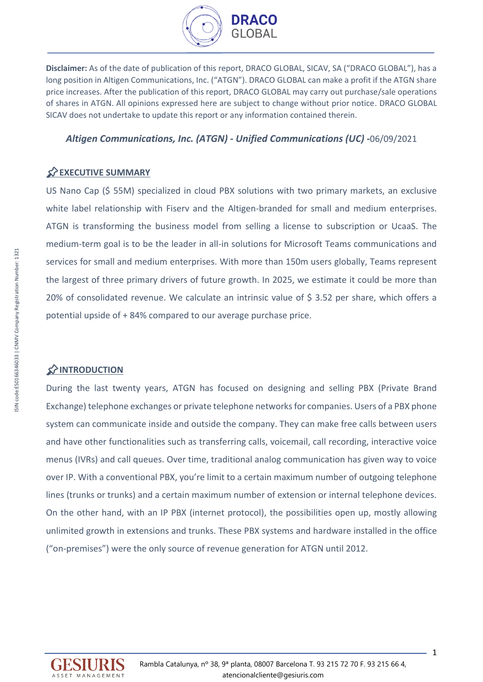

**Disclaimer:** As of the date of publication of this report, DRACO GLOBAL, SICAV, SA ("DRACO GLOBAL"), has a long position in Altigen Communications, Inc. ("ATGN"). DRACO GLOBAL can make a profit if the ATGN share price increases. After the publication of this report, DRACO GLOBAL may carry out purchase/sale operations of shares in ATGN. All opinions expressed here are subject to change without prior notice. DRACO GLOBAL SICAV does not undertake to update this report or any information contained therein.

## *Altigen Communications, Inc. (ATGN) - Unified Communications (UC) -*06/09/2021

## **EXECUTIVE SUMMARY**

US Nano Cap (\$ 55M) specialized in cloud PBX solutions with two primary markets, an exclusive white label relationship with Fiserv and the Altigen-branded for small and medium enterprises. ATGN is transforming the business model from selling a license to subscription or UcaaS. The medium-term goal is to be the leader in all-in solutions for Microsoft Teams communications and services for small and medium enterprises. With more than 150m users globally, Teams represent the largest of three primary drivers of future growth. In 2025, we estimate it could be more than 20% of consolidated revenue. We calculate an intrinsic value of \$ 3.52 per share, which offers a potential upside of + 84% compared to our average purchase price.

## **INTRODUCTION**

During the last twenty years, ATGN has focused on designing and selling PBX (Private Brand Exchange) telephone exchanges or private telephone networks for companies. Users of a PBX phone system can communicate inside and outside the company. They can make free calls between users and have other functionalities such as transferring calls, voicemail, call recording, interactive voice menus (IVRs) and call queues. Over time, traditional analog communication has given way to voice over IP. With a conventional PBX, you're limit to a certain maximum number of outgoing telephone lines (trunks or trunks) and a certain maximum number of extension or internal telephone devices. On the other hand, with an IP PBX (internet protocol), the possibilities open up, mostly allowing unlimited growth in extensions and trunks. These PBX systems and hardware installed in the office ("on-premises") were the only source of revenue generation for ATGN until 2012.

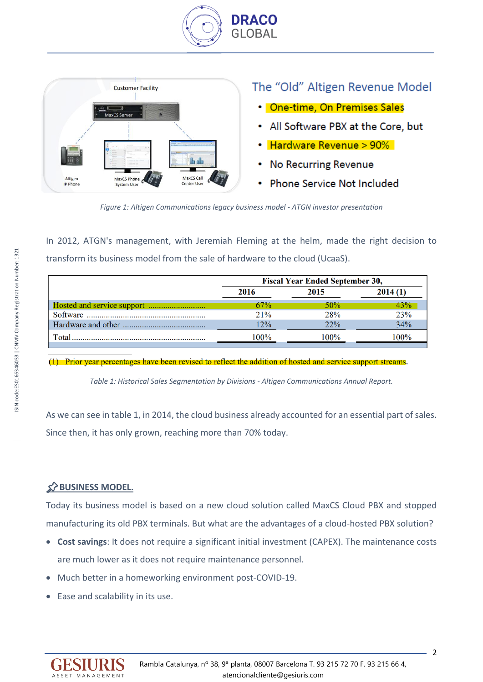



# The "Old" Altigen Revenue Model

- One-time, On Premises Sales
- All Software PBX at the Core, but
- Hardware Revenue > 90%
- **No Recurring Revenue**
- **Phone Service Not Included**

*Figure 1: Altigen Communications legacy business model - ATGN investor presentation*

In 2012, ATGN's management, with Jeremiah Fleming at the helm, made the right decision to transform its business model from the sale of hardware to the cloud (UcaaS).

|       | <b>Fiscal Year Ended September 30,</b> |        |         |  |  |  |  |  |  |
|-------|----------------------------------------|--------|---------|--|--|--|--|--|--|
|       | 2016                                   | 2015   | 2014(1) |  |  |  |  |  |  |
|       | 67%                                    | $50\%$ | 43%     |  |  |  |  |  |  |
|       | 21%                                    | 28%    | 23%     |  |  |  |  |  |  |
|       | 12%                                    | 22%    | 34%     |  |  |  |  |  |  |
| Total | 100%                                   | $00\%$ | $00\%$  |  |  |  |  |  |  |
|       |                                        |        |         |  |  |  |  |  |  |

(1) Prior year percentages have been revised to reflect the addition of hosted and service support streams.

*Table 1: Historical Sales Segmentation by Divisions - Altigen Communications Annual Report.*

As we can see in table 1, in 2014, the cloud business already accounted for an essential part of sales. Since then, it has only grown, reaching more than 70% today.

# **BUSINESS MODEL.**

Today its business model is based on a new cloud solution called MaxCS Cloud PBX and stopped manufacturing its old PBX terminals. But what are the advantages of a cloud-hosted PBX solution?

- **Cost savings**: It does not require a significant initial investment (CAPEX). The maintenance costs are much lower as it does not require maintenance personnel.
- Much better in a homeworking environment post-COVID-19.
- Ease and scalability in its use.

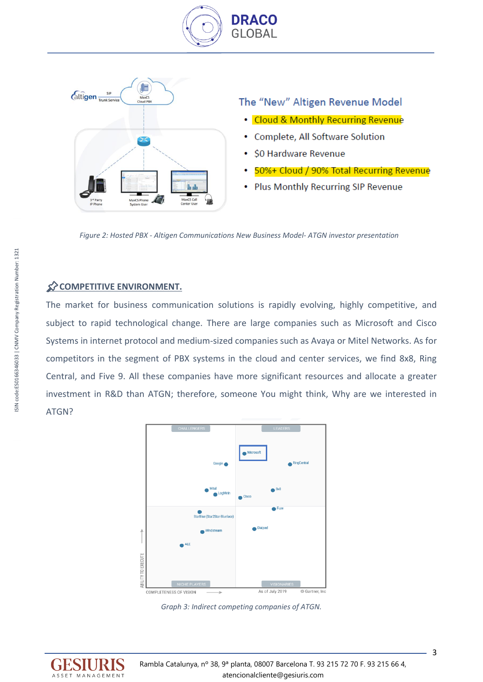



*Figure 2: Hosted PBX - Altigen Communications New Business Model- ATGN investor presentation*

## **COMPETITIVE ENVIRONMENT.**

The market for business communication solutions is rapidly evolving, highly competitive, and subject to rapid technological change. There are large companies such as Microsoft and Cisco Systems in internet protocol and medium-sized companies such as Avaya or Mitel Networks. As for competitors in the segment of PBX systems in the cloud and center services, we find 8x8, Ring Central, and Five 9. All these companies have more significant resources and allocate a greater investment in R&D than ATGN; therefore, someone You might think, Why are we interested in ATGN?



*Graph 3: Indirect competing companies of ATGN.*

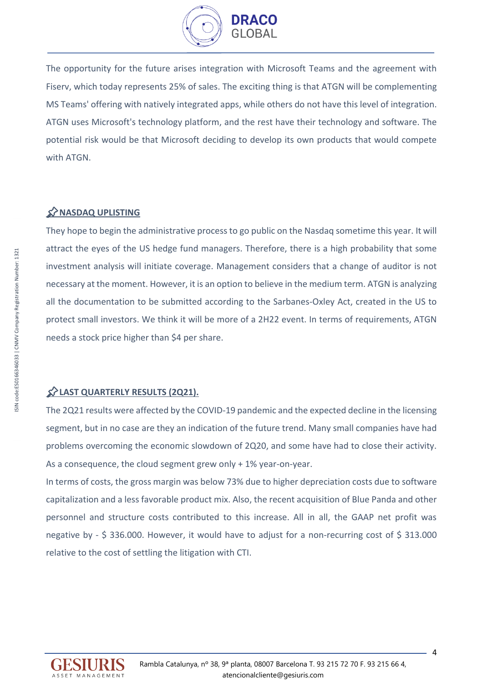

The opportunity for the future arises integration with Microsoft Teams and the agreement with Fiserv, which today represents 25% of sales. The exciting thing is that ATGN will be complementing MS Teams' offering with natively integrated apps, while others do not have this level of integration. ATGN uses Microsoft's technology platform, and the rest have their technology and software. The potential risk would be that Microsoft deciding to develop its own products that would compete with ATGN.

## **NASDAQ UPLISTING**

They hope to begin the administrative process to go public on the Nasdaq sometime this year. It will attract the eyes of the US hedge fund managers. Therefore, there is a high probability that some investment analysis will initiate coverage. Management considers that a change of auditor is not necessary at the moment. However, it is an option to believe in the medium term. ATGN is analyzing all the documentation to be submitted according to the Sarbanes-Oxley Act, created in the US to protect small investors. We think it will be more of a 2H22 event. In terms of requirements, ATGN needs a stock price higher than \$4 per share.

### **LAST QUARTERLY RESULTS (2Q21).**

The 2Q21 results were affected by the COVID-19 pandemic and the expected decline in the licensing segment, but in no case are they an indication of the future trend. Many small companies have had problems overcoming the economic slowdown of 2Q20, and some have had to close their activity. As a consequence, the cloud segment grew only + 1% year-on-year.

In terms of costs, the gross margin was below 73% due to higher depreciation costs due to software capitalization and a less favorable product mix. Also, the recent acquisition of Blue Panda and other personnel and structure costs contributed to this increase. All in all, the GAAP net profit was negative by - \$ 336.000. However, it would have to adjust for a non-recurring cost of \$ 313.000 relative to the cost of settling the litigation with CTI.

ISIN code:ES0166346033 | CNMV Company Registration Number: 1321

SIN code:ES0166346033 | CNMV Company Registration Number: 1321

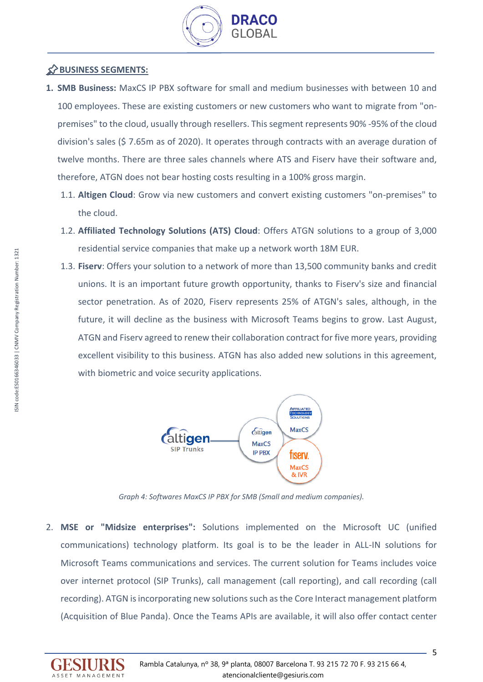

## **BUSINESS SEGMENTS:**

- **1. SMB Business:** MaxCS IP PBX software for small and medium businesses with between 10 and 100 employees. These are existing customers or new customers who want to migrate from "onpremises" to the cloud, usually through resellers. This segment represents 90% -95% of the cloud division's sales (\$ 7.65m as of 2020). It operates through contracts with an average duration of twelve months. There are three sales channels where ATS and Fiserv have their software and, therefore, ATGN does not bear hosting costs resulting in a 100% gross margin.
	- 1.1. **Altigen Cloud**: Grow via new customers and convert existing customers "on-premises" to the cloud.
	- 1.2. **Affiliated Technology Solutions (ATS) Cloud**: Offers ATGN solutions to a group of 3,000 residential service companies that make up a network worth 18M EUR.
	- 1.3. **Fiserv**: Offers your solution to a network of more than 13,500 community banks and credit unions. It is an important future growth opportunity, thanks to Fiserv's size and financial sector penetration. As of 2020, Fiserv represents 25% of ATGN's sales, although, in the future, it will decline as the business with Microsoft Teams begins to grow. Last August, ATGN and Fiserv agreed to renew their collaboration contract for five more years, providing excellent visibility to this business. ATGN has also added new solutions in this agreement, with biometric and voice security applications.



*Graph 4: Softwares MaxCS IP PBX for SMB (Small and medium companies).*

2. **MSE or "Midsize enterprises":** Solutions implemented on the Microsoft UC (unified communications) technology platform. Its goal is to be the leader in ALL-IN solutions for Microsoft Teams communications and services. The current solution for Teams includes voice over internet protocol (SIP Trunks), call management (call reporting), and call recording (call recording). ATGN is incorporating new solutions such as the Core Interact management platform (Acquisition of Blue Panda). Once the Teams APIs are available, it will also offer contact center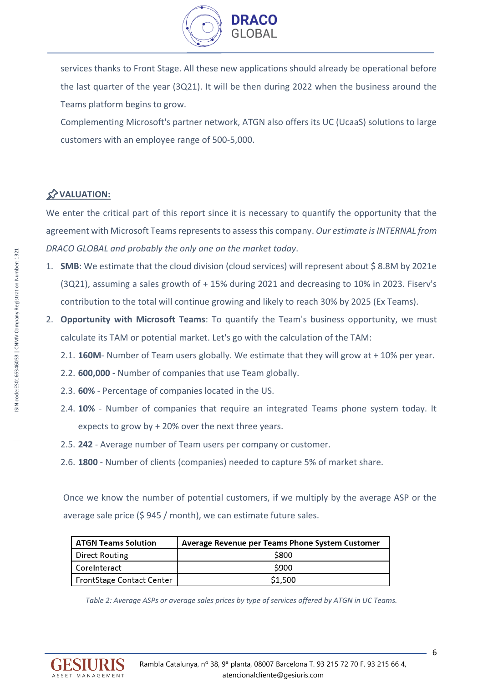

services thanks to Front Stage. All these new applications should already be operational before the last quarter of the year (3Q21). It will be then during 2022 when the business around the Teams platform begins to grow.

Complementing Microsoft's partner network, ATGN also offers its UC (UcaaS) solutions to large customers with an employee range of 500-5,000.

# **VALUATION:**

We enter the critical part of this report since it is necessary to quantify the opportunity that the agreement with Microsoft Teams represents to assess this company. *Our estimate is INTERNAL from DRACO GLOBAL and probably the only one on the market today*.

- 1. **SMB**: We estimate that the cloud division (cloud services) will represent about \$8.8M by 2021e (3Q21), assuming a sales growth of + 15% during 2021 and decreasing to 10% in 2023. Fiserv's contribution to the total will continue growing and likely to reach 30% by 2025 (Ex Teams).
- 2. **Opportunity with Microsoft Teams**: To quantify the Team's business opportunity, we must calculate its TAM or potential market. Let's go with the calculation of the TAM:
	- 2.1. **160M** Number of Team users globally. We estimate that they will grow at + 10% per year.
	- 2.2. **600,000** Number of companies that use Team globally.
	- 2.3. **60%**  Percentage of companies located in the US.
	- 2.4. **10%**  Number of companies that require an integrated Teams phone system today. It expects to grow by + 20% over the next three years.
	- 2.5. **242**  Average number of Team users per company or customer.
	- 2.6. **1800**  Number of clients (companies) needed to capture 5% of market share.

Once we know the number of potential customers, if we multiply by the average ASP or the average sale price (\$ 945 / month), we can estimate future sales.

| <b>ATGN Teams Solution</b> | Average Revenue per Teams Phone System Customer |
|----------------------------|-------------------------------------------------|
| Direct Routing             | \$800                                           |
| CoreInteract               | \$900                                           |
| FrontStage Contact Center  | \$1,500                                         |

*Table 2: Average ASPs or average sales prices by type of services offered by ATGN in UC Teams.*

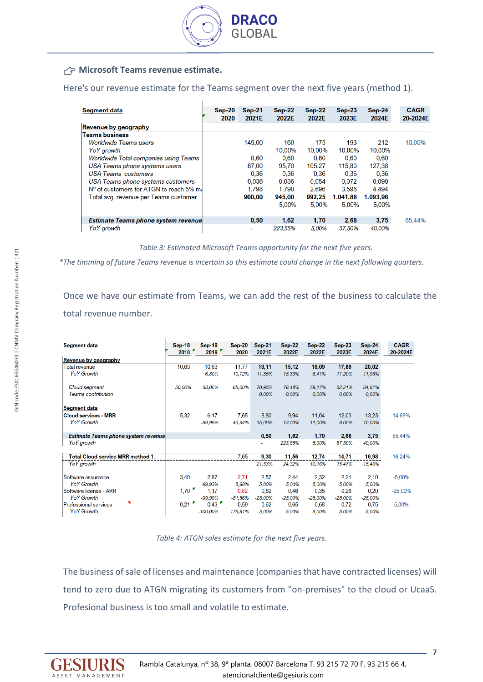

## **AP Microsoft Teams revenue estimate.**

Here's our revenue estimate for the Teams segment over the next five years (method 1).

| <b>Segment data</b>                        | $Sep-20$<br>2020 | $Sep-21$<br>2021E | $Sep-22$<br>2022E | $Sep-22$<br>2022E | $Sep-23$<br>2023E | $Sep-24$<br>2024E | <b>CAGR</b><br>20-2024E |
|--------------------------------------------|------------------|-------------------|-------------------|-------------------|-------------------|-------------------|-------------------------|
| <b>Revenue by geography</b>                |                  |                   |                   |                   |                   |                   |                         |
| <b>Teams business</b>                      |                  |                   |                   |                   |                   |                   |                         |
| <i><b>Worldwide Teams users</b></i>        |                  | 145.00            | 160               | 175               | 193               | 212               | 10.00%                  |
| YoY arowth                                 |                  |                   | 10,00%            | 10,00%            | 10.00%            | 10,00%            |                         |
| Worldwide Total companies using Teams      |                  | 0.60              | 0.60              | 0,60              | 0.60              | 0.60              |                         |
| USA Teams phone systems users              |                  | 87,00             | 95.70             | 105.27            | 115,80            | 127,38            |                         |
| <b>USA Teams customers</b>                 |                  | 0.36              | 0.36              | 0.36              | 0.36              | 0.36              |                         |
| USA Teams phone systems customers          |                  | 0.036             | 0.036             | 0.054             | 0.072             | 0.090             |                         |
| N° of customers for ATGN to reach 5% ma    |                  | 1.798             | 1.798             | 2.696             | 3.595             | 4.494             |                         |
| Total avg. revenue per Teams customer      |                  | 900,00            | 945,00            | 992.25            | 1.041.86          | 1.093.96          |                         |
|                                            |                  |                   | 5.00%             | 5.00%             | 5.00%             | 5.00%             |                         |
| <b>Estimate Teams phone system revenue</b> |                  | 0.50              | 1,62              | 1,70              | 2,68              | 3,75              | 65,44%                  |
| <b>YoY</b> arowth                          |                  | ۰                 | 223.55%           | 5.00%             | 57.50%            | 40.00%            |                         |

*Table 3: Estimated Microsoft Teams opportunity for the next five years.*

*\*The timming of future Teams revenue is incertain so this estimate could change in the next following quarters.*

Once we have our estimate from Teams, we can add the rest of the business to calculate the total revenue number.

| <b>Segment data</b>                        | <b>Sep-18</b><br>2018 | $Sep-19$<br>2019 | $Sep-20$<br>2020 | <b>Sep-21</b><br>2021E | $Sep-22$<br>2022E | <b>Sep-22</b><br>2022E | $Sep-23$<br>2023E | $Sep-24$<br>2024E | <b>CAGR</b><br>20-2024E |
|--------------------------------------------|-----------------------|------------------|------------------|------------------------|-------------------|------------------------|-------------------|-------------------|-------------------------|
| Revenue by geography                       |                       |                  |                  |                        |                   |                        |                   |                   |                         |
| Total revenue                              | 10,63                 | 10,63            | 11,77            | 13,11                  | 15,12             | 16,09                  | 17,89             | 20,02             |                         |
| <b>YoY Growth</b>                          |                       | 6.30%            | 10,72%           | 11.35%                 | 15,33%            | 6.41%                  | 11,20%            | 11,93%            |                         |
| Cloud segment                              | 50,00%                | 58,00%           | 65,00%           | 70,95%                 | 76,48%            | 79,17%                 | 82.21%            | 84,81%            |                         |
| <b>Teams contribution</b>                  |                       |                  |                  | 0,00%                  | 0,00%             | 0,00%                  | 0,00%             | 0,00%             |                         |
| <b>Segment data</b>                        |                       |                  |                  |                        |                   |                        |                   |                   |                         |
| <b>Cloud services - MRR</b>                | 5.32                  | 6,17             | 7,65             | 8,80                   | 9,94              | 11,04                  | 12,03             | 13.23             | 14,68%                  |
| <b>YoY Growth</b>                          |                       | $-99.99%$        | 43.94%           | 15,00%                 | 13.00%            | 11.00%                 | 9,00%             | 10,00%            |                         |
| <b>Estimate Teams phone system revenue</b> |                       |                  |                  | 0,50                   | 1,62              | 1,70                   | 2,68              | 3,75              | 65,44%                  |
| YoY growth                                 |                       |                  |                  | ٠                      | 223.55%           | 5,00%                  | 57,50%            | 40,00%            |                         |
| Total Cloud service MRR method 1.          |                       |                  | 7,65             | 9,30                   | 11,56             | 12,74                  | 14,71             | 16,98             | 16,24%                  |
| YoY growth                                 |                       |                  |                  | 21,53%                 | 24,32%            | 10,16%                 | 15,47%            | 15,46%            |                         |
| Software assurance                         | 3,40                  | 2,87             | 2,71             | 2,57                   | 2,44              | 2,32                   | 2,21              | 2,10              | $-5,00%$                |
| <b>YoY Growth</b>                          |                       | $-99,93%$        | $-5.68%$         | $-5,00%$               | $-5,00%$          | $-5,00%$               | $-5,00%$          | $-5,00%$          |                         |
| Software license - ARR                     | 1,70                  | 1,17             | 0.82             | 0.62                   | 0,46              | 0.35                   | 0,26              | 0,20              | $-25,00%$               |
| <b>YoY Growth</b>                          |                       | $-99.99\%$       | $-51,56%$        | $-25,00%$              | $-25,00%$         | $-25.00%$              | $-25.00%$         | $-25,00%$         |                         |
| <b>Professional services</b>               | 0,21                  | 0,43             | 0,59             | 0,62                   | 0,65              | 0,68                   | 0,72              | 0,75              | 5,00%                   |
| <b>YoY Growth</b>                          |                       | $-100,00%$       | 176,81%          | 5,00%                  | 5,00%             | 5,00%                  | 5,00%             | 5,00%             |                         |

*Table 4: ATGN sales estimate for the next five years.*

The business of sale of licenses and maintenance (companies that have contracted licenses) will tend to zero due to ATGN migrating its customers from "on-premises" to the cloud or UcaaS. Profesional business is too small and volatile to estimate.

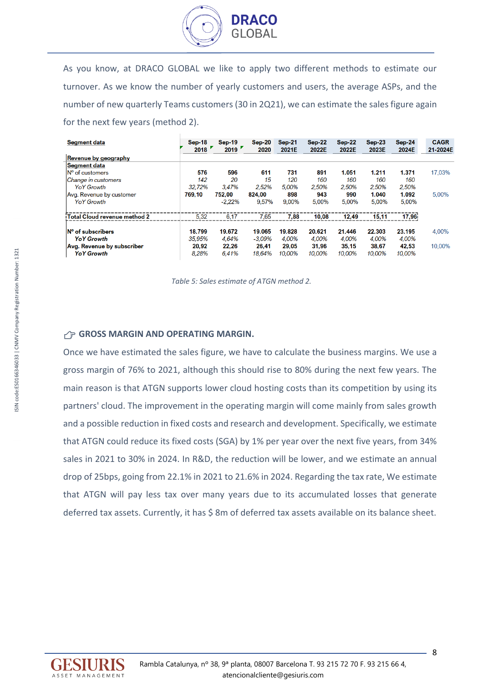

As you know, at DRACO GLOBAL we like to apply two different methods to estimate our turnover. As we know the number of yearly customers and users, the average ASPs, and the number of new quarterly Teams customers (30 in 2Q21), we can estimate the sales figure again for the next few years (method 2).

| <b>Segment data</b>                     | $Sep-18$<br>2018 | $Sep-19$<br>2019 | $Sep-20$<br>2020 | $Sep-21$<br>2021E | $Sep-22$<br>2022E | $Sep-22$<br>2022E | $Sep-23$<br>2023E | $Sep-24$<br>2024E | <b>CAGR</b><br>21-2024E |
|-----------------------------------------|------------------|------------------|------------------|-------------------|-------------------|-------------------|-------------------|-------------------|-------------------------|
| Revenue by geography                    |                  |                  |                  |                   |                   |                   |                   |                   |                         |
| <b>Segment data</b>                     |                  |                  |                  |                   |                   |                   |                   |                   |                         |
| N° of customers                         | 576              | 596              | 611              | 731               | 891               | 1.051             | 1.211             | 1.371             | 17,03%                  |
| Change in customers                     | 142              | 20               | 15               | 120               | 160               | 160               | 160               | 160               |                         |
| <b>YoY Growth</b>                       | 32.72%           | 3.47%            | 2.52%            | 5.00%             | 2.50%             | 2.50%             | 2.50%             | 2.50%             |                         |
| Avg. Revenue by customer                | 769,10           | 752.00           | 824,00           | 898               | 943               | 990               | 1.040             | 1.092             | 5.00%                   |
| <b>YoY Growth</b>                       |                  | $-2.22%$         | 9.57%            | 9.00%             | 5.00%             | 5.00%             | 5.00%             | 5.00%             |                         |
| Total Cloud revenue method 2            | 5.32             | 6.17             | 7.65             | 7.88              | 10,08             | 12,49             | 15.11             | 17.96             |                         |
| $\mathsf{N}^\mathsf{o}$ of subscribers. | 18.799           | 19.672           | 19.065           | 19.828            | 20.621            | 21.446            | 22.303            | 23.195            | 4.00%                   |
| <b>YoY Growth</b>                       | 35.95%           | 4.64%            | $-3.09%$         | 4.00%             | 4.00%             | 4.00%             | 4.00%             | 4.00%             |                         |
| Avg. Revenue by subscriber              | 20,92            | 22.26            | 26.41            | 29.05             | 31,96             | 35,15             | 38,67             | 42.53             | 10.00%                  |
| <b>YoY Growth</b>                       | 8.28%            | 6.41%            | 18.64%           | 10.00%            | 10.00%            | 10.00%            | 10.00%            | 10.00%            |                         |

*Table 5: Sales estimate of ATGN method 2.*

#### **GROSS MARGIN AND OPERATING MARGIN.**

Once we have estimated the sales figure, we have to calculate the business margins. We use a gross margin of 76% to 2021, although this should rise to 80% during the next few years. The main reason is that ATGN supports lower cloud hosting costs than its competition by using its partners' cloud. The improvement in the operating margin will come mainly from sales growth and a possible reduction in fixed costs and research and development. Specifically, we estimate that ATGN could reduce its fixed costs (SGA) by 1% per year over the next five years, from 34% sales in 2021 to 30% in 2024. In R&D, the reduction will be lower, and we estimate an annual drop of 25bps, going from 22.1% in 2021 to 21.6% in 2024. Regarding the tax rate, We estimate that ATGN will pay less tax over many years due to its accumulated losses that generate deferred tax assets. Currently, it has \$ 8m of deferred tax assets available on its balance sheet.

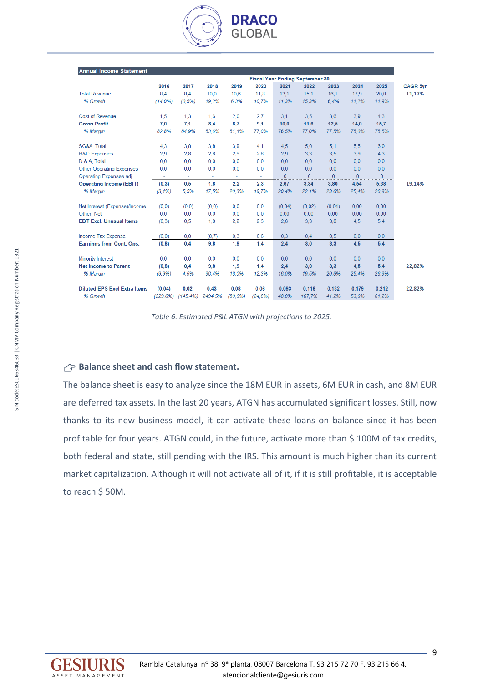

| <b>Annual Income Statement</b>      |          |              |         |         |          |              |                                  |          |              |          |                 |
|-------------------------------------|----------|--------------|---------|---------|----------|--------------|----------------------------------|----------|--------------|----------|-----------------|
|                                     |          |              |         |         |          |              | Fiscal Year Ending September 30, |          |              |          |                 |
|                                     | 2016     | 2017         | 2018    | 2019    | 2020     | 2021         | 2022                             | 2023     | 2024         | 2025     | <b>CAGR 5yr</b> |
| <b>Total Revenue</b>                | 8,4      | 8,4          | 10.0    | 10,6    | 11,8     | 13,1         | 15,1                             | 16,1     | 17,9         | 20,0     |                 |
| % Growth                            | (14,0%   | (0.5%)       | 19,2%   | 6.3%    | 10.7%    | 11.3%        | 15.3%                            | 6.4%     | 11,2%        | 11,9%    |                 |
| <b>Cost of Revenue</b>              | 1,5      | 1,3          | 1,6     | 2,0     | 2,7      | 3,1          | 3,5                              | 3,6      | 3,9          | 4,3      |                 |
| <b>Gross Profit</b>                 | 7,0      | 7.1          | 8,4     | 8.7     | 9.1      | 10,0         | 11,6                             | 12,5     | 14,0         | 15.7     |                 |
| % Margin                            | 82.8%    | 84.9%        | 83.6%   | 81.4%   | 77.0%    | 76.5%        | 77.0%                            | 77.5%    | 78.0%        | 78.5%    |                 |
| SG&A, Total                         | 4,3      | 3.8          | 3,8     | 3,9     | 4.1      | 4,5          | 5.0                              | 5,1      | 5,5          | 6.0      |                 |
| <b>R&amp;D Expenses</b>             | 2,9      | 2.8          | 2,8     | 2.6     | 2,6      | 2,9          | 3,3                              | 3,5      | 3.9          | 4,3      |                 |
| D & A, Total                        | 0.0      | 0.0          | 0.0     | 0.0     | 0.0      | 0.0          | 0.0                              | 0.0      | 0.0          | 0,0      |                 |
| <b>Other Operating Expenses</b>     | 0,0      | 0.0          | 0.0     | 0.0     | 0,0      | 0.0          | 0.0                              | 0.0      | 0.0          | 0.0      |                 |
| Operating Expenses adj.             | $\sim$   |              | ٠       |         | ÷        | $\mathbf{0}$ | $\mathbf{0}$                     | $\Omega$ | $\mathbf{0}$ | $\Omega$ |                 |
| <b>Operating Income (EBIT)</b>      | (0, 3)   | 0,5          | 1,8     | 2,2     | 2,3      | 2,67         | 3,34                             | 3,80     | 4,54         | 5,38     |                 |
| % Margin                            | (3.1%)   | 5.5%         | 17,5%   | 20.3%   | 19.7%    | 20,4%        | 22,1%                            | 23,6%    | 25,4%        | 26,9%    |                 |
| Net Interest (Expense)/Income       | (0,0)    | (0,0)        | (0,0)   | 0,0     | 0,0      | (0.04)       | (0,02)                           | (0,01)   | 0.00         | 0.00     |                 |
| Other, Net                          | 0.0      | 0.0          | 0.0     | 0.0     | 0.0      | 0.00         | 0.00                             | 0.00     | 0.00         | 0.00     |                 |
| <b>EBT Excl. Unusual Items</b>      | (0,3)    | 0,5          | 1,8     | 2,2     | 2,3      | 2,6          | 3,3                              | 3,8      | 4,5          | 5,4      |                 |
| Income Tax Expense                  | (0,0)    | 0.0          | (8,7)   | 0,3     | 0,6      | 0,3          | 0,4                              | 0,5      | 0.0          | 0.0      |                 |
| Earnings from Cont. Ops.            | (0,8)    | 0,4          | 9,8     | 1.9     | 1,4      | 2,4          | 3,0                              | 3,3      | 4,5          | 5,4      |                 |
| <b>Minority Interest</b>            | 0.0      | 0.0          | 0,0     | 0.0     | 0.0      | 0,0          | 0.0                              | 0.0      | 0.0          | 0.0      |                 |
| <b>Net Income to Parent</b>         | (0,8)    | 0.4          | 9,8     | 1.9     | 1,4      | 2,4          | 3,0                              | 3,3      | 4,5          | 5,4      |                 |
| % Margin                            | (9.9%)   | 4.5%         | 98.4%   | 18.0%   | 12.3%    | 18.0%        | 19.5%                            | 20.8%    | 25.4%        | 26.9%    |                 |
| <b>Diluted EPS Excl Extra Items</b> | (0.04)   | 0,02         | 0,43    | 0,08    | 0.06     | 0,093        | 0.116                            | 0,132    | 0.179        | 0,212    |                 |
| % Growth                            | (229.6%) | $(145, 4\%)$ | 2494,5% | (80.6%) | (24, 8%) | 48.0%        | 167,7%                           | 41,2%    | 53.6%        | 61,2%    |                 |

*Table 6: Estimated P&L ATGN with projections to 2025.*

### **Balance sheet and cash flow statement.**

The balance sheet is easy to analyze since the 18M EUR in assets, 6M EUR in cash, and 8M EUR are deferred tax assets. In the last 20 years, ATGN has accumulated significant losses. Still, now thanks to its new business model, it can activate these loans on balance since it has been profitable for four years. ATGN could, in the future, activate more than \$ 100M of tax credits, both federal and state, still pending with the IRS. This amount is much higher than its current market capitalization. Although it will not activate all of it, if it is still profitable, it is acceptable to reach \$ 50M.

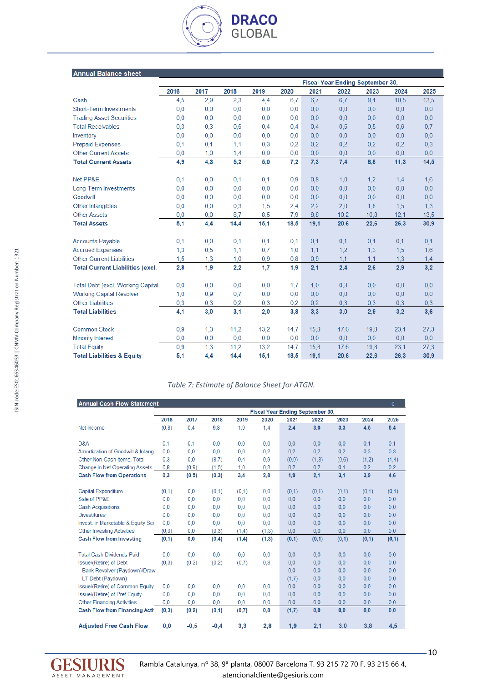### **Annual Balance sheet**

|                                          | Fiscal Year Ending September 30, |      |      |      |      |      |      |      |      |      |
|------------------------------------------|----------------------------------|------|------|------|------|------|------|------|------|------|
|                                          | 2016                             | 2017 | 2018 | 2019 | 2020 | 2021 | 2022 | 2023 | 2024 | 2025 |
| Cash                                     | 4,5                              | 2,9  | 2,3  | 4,4  | 6,7  | 6,7  | 6,7  | 8,1  | 10,5 | 13,5 |
| <b>Short-Term Investments</b>            | 0,0                              | 0,0  | 0,0  | 0,0  | 0.0  | 0,0  | 0,0  | 0,0  | 0,0  | 0,0  |
| <b>Trading Asset Securities</b>          | 0.0                              | 0,0  | 0,0  | 0,0  | 0,0  | 0.0  | 0,0  | 0,0  | 0,0  | 0,0  |
| <b>Total Receivables</b>                 | 0,3                              | 0,3  | 0,5  | 0,4  | 0.4  | 0.4  | 0,5  | 0,5  | 0,6  | 0.7  |
| Inventory                                | 0,0                              | 0,0  | 0,0  | 0,0  | 0,0  | 0.0  | 0,0  | 0,0  | 0,0  | 0,0  |
| <b>Prepaid Expenses</b>                  | 0.1                              | 0,1  | 1,1  | 0,3  | 0.2  | 0.2  | 0,2  | 0,2  | 0,2  | 0,3  |
| <b>Other Current Assets</b>              | 0,0                              | 1,0  | 1,4  | 0,0  | 0,0  | 0,0  | 0,0  | 0,0  | 0,0  | 0,0  |
| <b>Total Current Assets</b>              | 4,9                              | 4,3  | 5,2  | 5,0  | 7,2  | 7,3  | 7,4  | 8,8  | 11,3 | 14,5 |
| Net PP&E                                 | 0.1                              | 0,0  | 0.1  | 0,1  | 0,9  | 0,8  | 1,0  | 1,2  | 1,4  | 1,6  |
| Long-Term Investments                    | 0,0                              | 0,0  | 0,0  | 0,0  | 0.0  | 0,0  | 0.0  | 0,0  | 0,0  | 0,0  |
| Goodwill                                 | 0,0                              | 0,0  | 0,0  | 0,0  | 0.0  | 0,0  | 0,0  | 0,0  | 0,0  | 0,0  |
| Other Intangibles                        | 0.0                              | 0,0  | 0,3  | 1,5  | 2,4  | 2.2  | 2,0  | 1,8  | 1,5  | 1,3  |
| <b>Other Assets</b>                      | 0,0                              | 0.0  | 8,7  | 8,5  | 7.9  | 8.8  | 10.2 | 10,8 | 12,1 | 13,5 |
| <b>Total Assets</b>                      | 5,1                              | 4,4  | 14,4 | 15,1 | 18,5 | 19,1 | 20,6 | 22,6 | 26,3 | 30,9 |
| <b>Accounts Payable</b>                  | 0.1                              | 0,0  | 0,1  | 0,1  | 0.1  | 0.1  | 0,1  | 0,1  | 0,1  | 0,1  |
| <b>Accrued Expenses</b>                  | 1,3                              | 0,5  | 1,1  | 0,7  | 1,0  | 1,1  | 1,2  | 1,3  | 1,5  | 1,6  |
| <b>Other Current Liabilities</b>         | 1,5                              | 1,3  | 1,0  | 0,9  | 0.8  | 0.9  | 1.1  | 1,1  | 1,3  | 1,4  |
| <b>Total Current Liabilities (excl.</b>  | 2,8                              | 1,9  | 2,2  | 1,7  | 1,9  | 2,1  | 2,4  | 2,6  | 2,9  | 3,2  |
| <b>Total Debt (excl. Working Capital</b> | 0.0                              | 0,0  | 0,0  | 0,0  | 1,7  | 1.0  | 0,3  | 0,0  | 0,0  | 0,0  |
| <b>Working Capital Revolver</b>          | 1,0                              | 0,9  | 0,7  | 0,0  | 0,0  | 0.0  | 0,0  | 0,0  | 0,0  | 0,0  |
| <b>Other Liabilities</b>                 | 0.3                              | 0.3  | 0,2  | 0.3  | 0,2  | 0.2  | 0.3  | 0.3  | 0,3  | 0,3  |
| <b>Total Liabilities</b>                 | 4.1                              | 3,0  | 3,1  | 2,0  | 3,8  | 3,3  | 3,0  | 2,9  | 3,2  | 3,6  |
| <b>Common Stock</b>                      | 0.9                              | 1,3  | 11,2 | 13,2 | 14,7 | 15,8 | 17,6 | 19,8 | 23,1 | 27,3 |
| <b>Minority Interest</b>                 | 0,0                              | 0,0  | 0,0  | 0,0  | 0,0  | 0.0  | 0,0  | 0,0  | 0,0  | 0,0  |
| <b>Total Equity</b>                      | 0,9                              | 1,3  | 11,2 | 13,2 | 14,7 | 15,8 | 17,6 | 19,8 | 23,1 | 27,3 |
| <b>Total Liabilities &amp; Equity</b>    | 5.1                              | 4,4  | 14.4 | 15,1 | 18,5 | 19.1 | 20,6 | 22,6 | 26,3 | 30,9 |

**DRACO**<br>GLOBAL

#### *Table 7: Estimate of Balance Sheet for ATGN.*

| <b>Annual Cash Flow Statement</b>     |                                  |        |        |       |       |       |       |       |       | $\mathbf{0}$ |  |
|---------------------------------------|----------------------------------|--------|--------|-------|-------|-------|-------|-------|-------|--------------|--|
|                                       | Fiscal Year Ending September 30, |        |        |       |       |       |       |       |       |              |  |
|                                       | 2016                             | 2017   | 2018   | 2019  | 2020  | 2021  | 2022  | 2023  | 2024  | 2025         |  |
| Net Income                            | (0, 8)                           | 0.4    | 9,8    | 1,9   | 1.4   | 2,4   | 3,0   | 3,3   | 4,5   | 5,4          |  |
| D&A                                   | 0.1                              | 0.1    | 0.0    | 0.0   | 0.0   | 0,0   | 0,0   | 0.0   | 0.1   | 0.1          |  |
| Amortization of Goodwill & Intangi    | 0.0                              | 0.0    | 0.0    | 0.0   | 0.2   | 0.2   | 0,2   | 0,2   | 0.3   | 0,3          |  |
| Other Non-Cash Items, Total           | 0,3                              | 0,0    | (8,7)  | 0,4   | 0,9   | (0,9) | (1,3) | (0,6) | (1,2) | (1,4)        |  |
| Change in Net Operating Assets        | 0,8                              | (0,9)  | (1,5)  | 1,0   | 0,3   | 0,2   | 0,2   | 0,1   | 0,2   | 0,2          |  |
| <b>Cash Flow from Operations</b>      | 0,3                              | (0,5)  | (0,3)  | 3,4   | 2,8   | 1,9   | 2,1   | 3,1   | 3,9   | 4,6          |  |
| Capital Expenditure                   | (0,1)                            | 0,0    | (0,1)  | (0,1) | 0.0   | (0,1) | (0,1) | (0,1) | (0,1) | (0,1)        |  |
| Sale of PP&E                          | 0.0                              | 0.0    | 0.0    | 0,0   | 0.0   | 0,0   | 0.0   | 0.0   | 0,0   | 0.0          |  |
| <b>Cash Acquisitions</b>              | 0.0                              | 0,0    | 0.0    | 0,0   | 0.0   | 0.0   | 0.0   | 0,0   | 0,0   | 0,0          |  |
| <b>Divestitures</b>                   | 0.0                              | 0.0    | 0.0    | 0,0   | 0.0   | 0,0   | 0.0   | 0,0   | 0,0   | 0,0          |  |
| Invest. in Marketable & Equity Sec    | 0.0                              | 0,0    | 0,0    | 0,0   | 0,0   | 0,0   | 0,0   | 0,0   | 0,0   | 0,0          |  |
| <b>Other Investing Activities</b>     | (0,0)                            | 0,0    | (0,3)  | (1,4) | (1,3) | 0,0   | 0,0   | 0,0   | 0,0   | 0,0          |  |
| <b>Cash Flow from Investing</b>       | (0,1)                            | 0,0    | (0, 4) | (1,4) | (1,3) | (0,1) | (0,1) | (0,1) | (0,1) | (0,1)        |  |
| <b>Total Cash Dividends Paid</b>      | 0.0                              | 0.0    | 0.0    | 0.0   | 0.0   | 0,0   | 0.0   | 0.0   | 0,0   | 0.0          |  |
| Issue/(Retire) of Debt                | (0,3)                            | (0,2)  | (0,2)  | (0,7) | 0,8   | 0.0   | 0.0   | 0.0   | 0,0   | 0,0          |  |
| Bank Revolver (Paydown)/Draw          |                                  |        |        |       |       | 0,0   | 0.0   | 0,0   | 0,0   | 0,0          |  |
| LT Debt (Paydown)                     |                                  |        |        |       |       | (1,7) | 0.0   | 0,0   | 0,0   | 0,0          |  |
| Issue/(Retire) of Common Equity       | 0,0                              | 0,0    | 0,0    | 0,0   | 0,0   | 0,0   | 0,0   | 0,0   | 0,0   | 0,0          |  |
| Issue/(Retire) of Pref Equity         | 0,0                              | 0.0    | 0,0    | 0,0   | 0,0   | 0.0   | 0,0   | 0.0   | 0,0   | 0,0          |  |
| <b>Other Financing Activities</b>     | 0,0                              | 0.0    | 0.0    | 0,0   | 0.0   | 0,0   | 0.0   | 0.0   | 0.0   | 0,0          |  |
| <b>Cash Flow from Financing Activ</b> | (0,3)                            | (0,2)  | (0,1)  | (0,7) | 0,8   | (1,7) | 0,0   | 0,0   | 0,0   | 0,0          |  |
| <b>Adjusted Free Cash Flow</b>        | 0,0                              | $-0,5$ | $-0.4$ | 3,3   | 2,8   | 1,9   | 2,1   | 3,0   | 3,8   | 4,5          |  |



 $-10$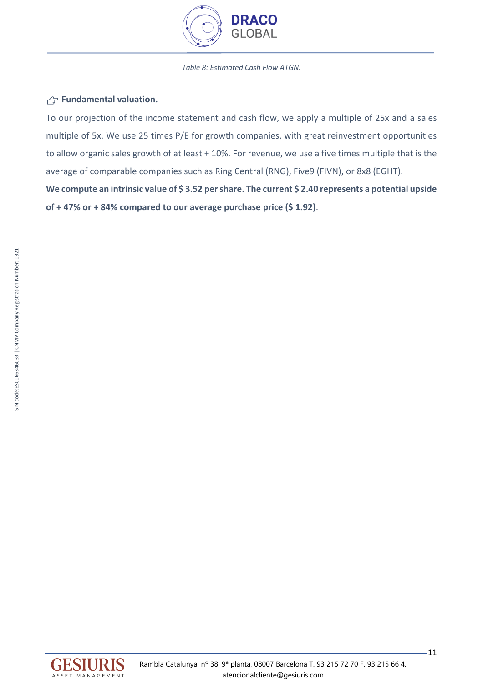

#### *Table 8: Estimated Cash Flow ATGN.*

## **Fundamental valuation.**

To our projection of the income statement and cash flow, we apply a multiple of 25x and a sales multiple of 5x. We use 25 times P/E for growth companies, with great reinvestment opportunities to allow organic sales growth of at least + 10%. For revenue, we use a five times multiple that is the average of comparable companies such as Ring Central (RNG), Five9 (FIVN), or 8x8 (EGHT).

**We compute an intrinsic value of \$ 3.52 per share. The current \$ 2.40 represents a potential upside of + 47% or + 84% compared to our average purchase price (\$ 1.92)**.